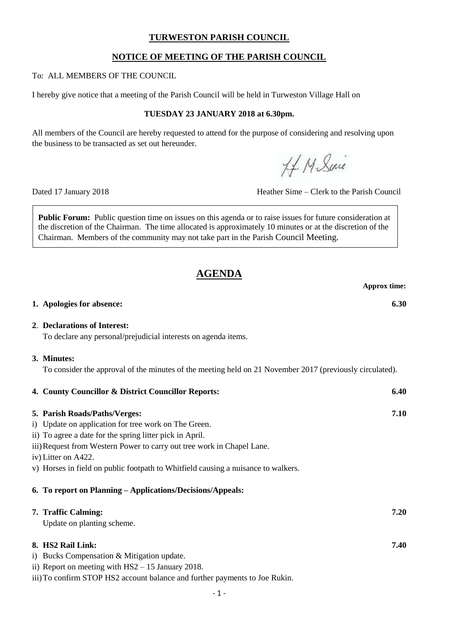## **TURWESTON PARISH COUNCIL**

## **NOTICE OF MEETING OF THE PARISH COUNCIL**

#### To: ALL MEMBERS OF THE COUNCIL

I hereby give notice that a meeting of the Parish Council will be held in Turweston Village Hall on

## **TUESDAY 23 JANUARY 2018 at 6.30pm.**

All members of the Council are hereby requested to attend for the purpose of considering and resolving upon the business to be transacted as set out hereunder.

H. M. Sine

Dated 17 January 2018 Heather Sime – Clerk to the Parish Council

**Public Forum:** Public question time on issues on this agenda or to raise issues for future consideration at the discretion of the Chairman. The time allocated is approximately 10 minutes or at the discretion of the Chairman. Members of the community may not take part in the Parish Council Meeting.

# **AGENDA**

|                                                                                                                                                                                                                                                                                                                                                                                                       | <b>Approx time:</b> |
|-------------------------------------------------------------------------------------------------------------------------------------------------------------------------------------------------------------------------------------------------------------------------------------------------------------------------------------------------------------------------------------------------------|---------------------|
| 1. Apologies for absence:                                                                                                                                                                                                                                                                                                                                                                             | 6.30                |
| 2. Declarations of Interest:<br>To declare any personal/prejudicial interests on agenda items.                                                                                                                                                                                                                                                                                                        |                     |
| 3. Minutes:<br>To consider the approval of the minutes of the meeting held on 21 November 2017 (previously circulated).                                                                                                                                                                                                                                                                               |                     |
| 4. County Councillor & District Councillor Reports:                                                                                                                                                                                                                                                                                                                                                   | 6.40                |
| 5. Parish Roads/Paths/Verges:<br>i) Update on application for tree work on The Green.<br>ii) To agree a date for the spring litter pick in April.<br>iii) Request from Western Power to carry out tree work in Chapel Lane.<br>iv) Litter on A422.<br>v) Horses in field on public footpath to Whitfield causing a nuisance to walkers.<br>6. To report on Planning - Applications/Decisions/Appeals: | 7.10                |
| 7. Traffic Calming:<br>Update on planting scheme.                                                                                                                                                                                                                                                                                                                                                     | 7.20                |
| 8. HS2 Rail Link:<br>i) Bucks Compensation & Mitigation update.<br>ii) Report on meeting with $HS2 - 15$ January 2018.<br>iii) To confirm STOP HS2 account balance and further payments to Joe Rukin.                                                                                                                                                                                                 | 7.40                |